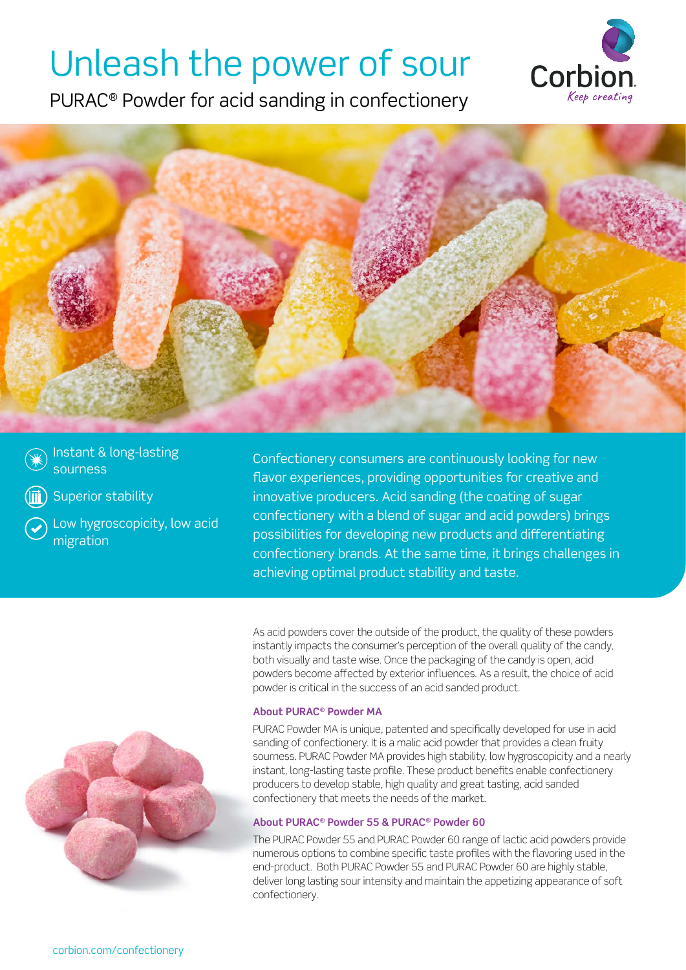# Unleash the power of sour

PURAC® Powder for acid sanding in confectionery





Instant & long-lasting sourness

Superior stability

Low hygroscopicity, low acid migration

Confectionery consumers are continuously looking for new flavor experiences, providing opportunities for creative and innovative producers. Acid sanding (the coating of sugar confectionery with a blend of sugar and acid powders) brings possibilities for developing new products and differentiating confectionery brands. At the same time, it brings challenges in achieving optimal product stability and taste.

As acid powders cover the outside of the product, the quality of these powders instantly impacts the consumer's perception of the overall quality of the candy, both visually and taste wise. Once the packaging of the candy is open, acid powders become affected by exterior influences. As a result, the choice of acid powder is critical in the success of an acid sanded product.

## **About PURAC® Powder MA**

PURAC Powder MA is unique, patented and specifically developed for use in acid sanding of confectionery. It is a malic acid powder that provides a clean fruity sourness. PURAC Powder MA provides high stability, low hygroscopicity and a nearly instant, long-lasting taste profile. These product benefits enable confectionery producers to develop stable, high quality and great tasting, acid sanded confectionery that meets the needs of the market.

# **About PURAC® Powder 55 & PURAC® Powder 60**

The PURAC Powder 55 and PURAC Powder 60 range of lactic acid powders provide numerous options to combine specific taste profiles with the flavoring used in the end-product. Both PURAC Powder 55 and PURAC Powder 60 are highly stable, deliver long lasting sour intensity and maintain the appetizing appearance of soft confectionery.